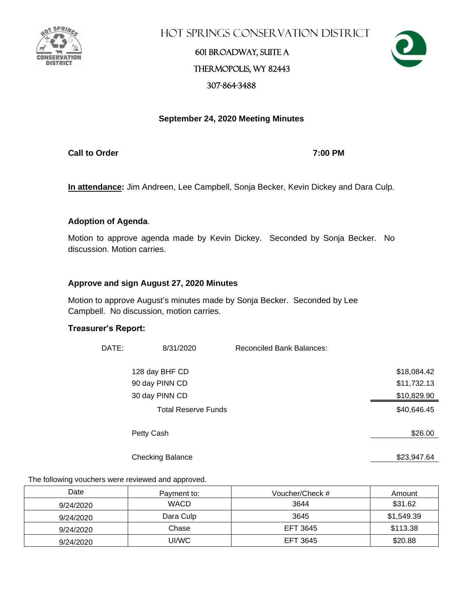

Hot Springs Conservation District

### 601 Broadway, Suite A Thermopolis, WY 82443 307-864-3488



### **September 24, 2020 Meeting Minutes**

**Call to Order 7:00 PM**

**In attendance:** Jim Andreen, Lee Campbell, Sonja Becker, Kevin Dickey and Dara Culp.

### **Adoption of Agenda**.

Motion to approve agenda made by Kevin Dickey. Seconded by Sonja Becker. No discussion. Motion carries.

### **Approve and sign August 27, 2020 Minutes**

Motion to approve August's minutes made by Sonja Becker. Seconded by Lee Campbell. No discussion, motion carries.

### **Treasurer's Report:**

| DATE: | 8/31/2020                  | <b>Reconciled Bank Balances:</b> |             |
|-------|----------------------------|----------------------------------|-------------|
|       | 128 day BHF CD             |                                  | \$18,084.42 |
|       | 90 day PINN CD             |                                  | \$11,732.13 |
|       | 30 day PINN CD             |                                  | \$10,829.90 |
|       | <b>Total Reserve Funds</b> |                                  | \$40,646.45 |
|       | Petty Cash                 |                                  | \$26.00     |
|       | <b>Checking Balance</b>    |                                  | \$23,947.64 |

The following vouchers were reviewed and approved.

| Date      | Payment to: | Voucher/Check # | Amount     |
|-----------|-------------|-----------------|------------|
| 9/24/2020 | <b>WACD</b> | 3644            | \$31.62    |
| 9/24/2020 | Dara Culp   | 3645            | \$1,549.39 |
| 9/24/2020 | Chase       | EFT 3645        | \$113.38   |
| 9/24/2020 | UI/WC       | EFT 3645        | \$20.88    |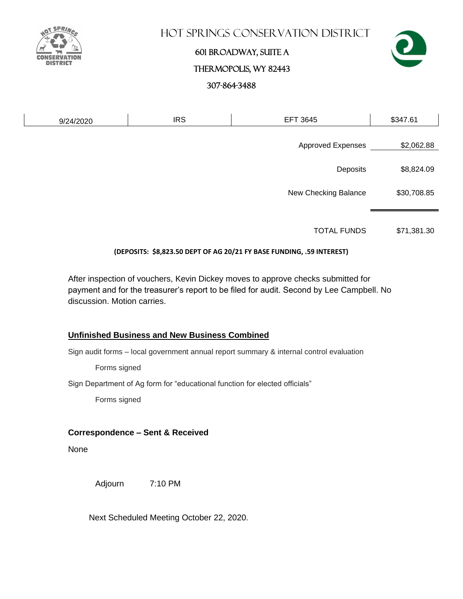

### Hot Springs Conservation District

# 601 Broadway, Suite A Thermopolis, WY 82443 307-864-3488



| 9/24/2020 | <b>IRS</b> | <b>EFT 3645</b>          | \$347.61    |
|-----------|------------|--------------------------|-------------|
|           |            | <b>Approved Expenses</b> | \$2,062.88  |
|           |            | Deposits                 | \$8,824.09  |
|           |            | New Checking Balance     | \$30,708.85 |
|           |            |                          |             |

TOTAL FUNDS \$71,381.30

### **(DEPOSITS: \$8,823.50 DEPT OF AG 20/21 FY BASE FUNDING, .59 INTEREST)**

After inspection of vouchers, Kevin Dickey moves to approve checks submitted for payment and for the treasurer's report to be filed for audit. Second by Lee Campbell. No discussion. Motion carries.

### **Unfinished Business and New Business Combined**

Sign audit forms – local government annual report summary & internal control evaluation

Forms signed

Sign Department of Ag form for "educational function for elected officials"

Forms signed

### **Correspondence – Sent & Received**

None

Adjourn 7:10 PM

Next Scheduled Meeting October 22, 2020.